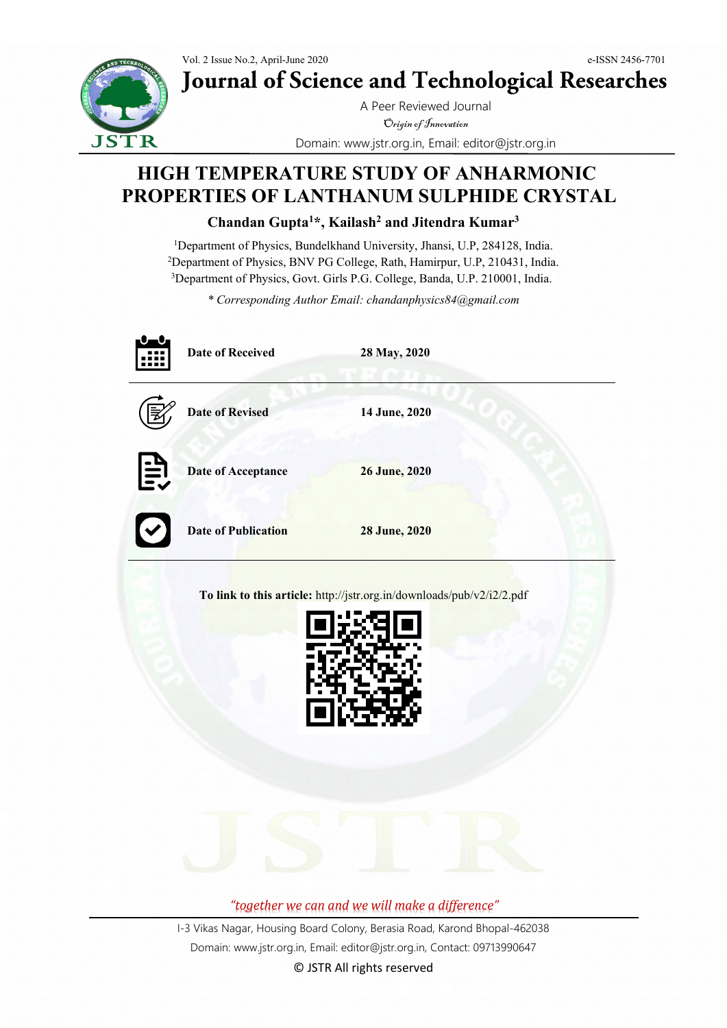

**Journal of Science and Technological Researches**

A Peer Reviewed Journal Origin of Innovation Domain: www.jstr.org.in, Email: editor@jstr.org.in

# **HIGH TEMPERATURE STUDY OF ANHARMONIC PROPERTIES OF LANTHANUM SULPHIDE CRYSTAL**

**Chandan Gupta1 \*, Kailash2 and Jitendra Kumar3**

<sup>1</sup>Department of Physics, Bundelkhand University, Jhansi, U.P, 284128, India. 2 Department of Physics, BNV PG College, Rath, Hamirpur, U.P, 210431, India. <sup>3</sup>Department of Physics, Govt. Girls P.G. College, Banda, U.P. 210001, India.

*\* Corresponding Author Email: chandanphysics84@gmail.com*

|                 | <b>Date of Received</b>    | 28 May, 2020                                                          |
|-----------------|----------------------------|-----------------------------------------------------------------------|
|                 | <b>Date of Revised</b>     | 14 June, 2020                                                         |
| $\widehat{\Xi}$ | <b>Date of Acceptance</b>  | 26 June, 2020                                                         |
|                 | <b>Date of Publication</b> | 28 June, 2020                                                         |
|                 |                            | To link to this article: http://jstr.org.in/downloads/pub/v2/i2/2.pdf |



*"together we can and we will make a difference"*

I-3 Vikas Nagar, Housing Board Colony, Berasia Road, Karond Bhopal-462038 Domain: www.jstr.org.in, Email: editor@jstr.org.in, Contact: 09713990647

© JSTR All rights reserved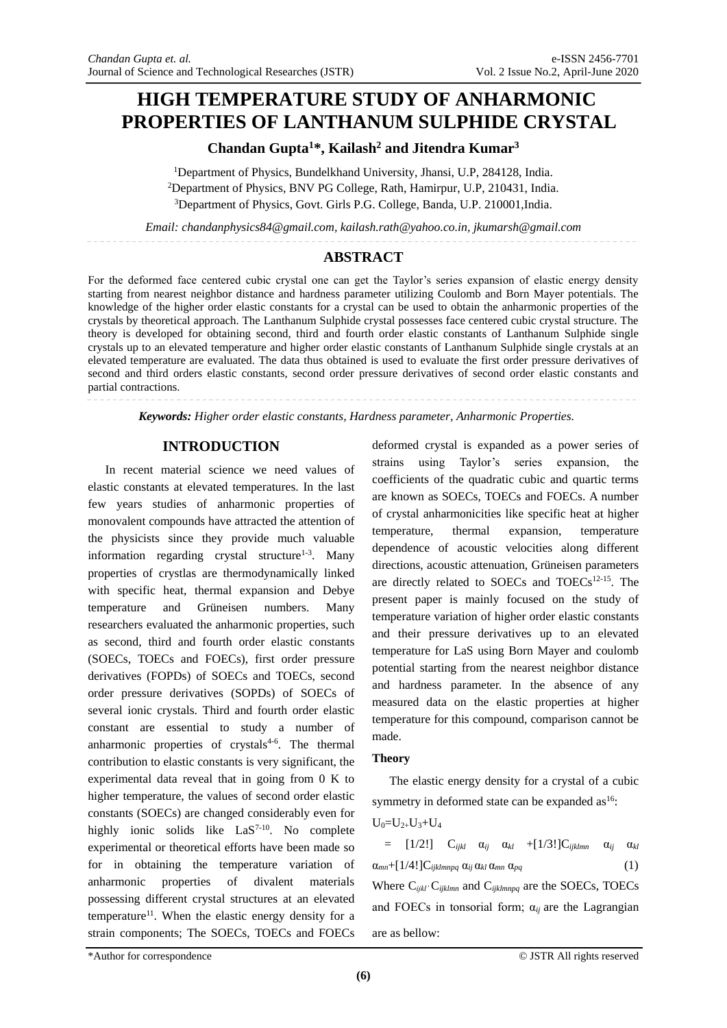## **HIGH TEMPERATURE STUDY OF ANHARMONIC PROPERTIES OF LANTHANUM SULPHIDE CRYSTAL**

## **Chandan Gupta<sup>1</sup>\*, Kailash<sup>2</sup> and Jitendra Kumar<sup>3</sup>**

<sup>1</sup>Department of Physics, Bundelkhand University, Jhansi, U.P, 284128, India. <sup>2</sup>Department of Physics, BNV PG College, Rath, Hamirpur, U.P, 210431, India. <sup>3</sup>Department of Physics, Govt. Girls P.G. College, Banda, U.P. 210001,India.

*Email: chandanphysics84@gmail.com, kailash.rath@yahoo.co.in, jkumarsh@gmail.com*

## **ABSTRACT**

For the deformed face centered cubic crystal one can get the Taylor's series expansion of elastic energy density starting from nearest neighbor distance and hardness parameter utilizing Coulomb and Born Mayer potentials. The knowledge of the higher order elastic constants for a crystal can be used to obtain the anharmonic properties of the crystals by theoretical approach. The Lanthanum Sulphide crystal possesses face centered cubic crystal structure. The theory is developed for obtaining second, third and fourth order elastic constants of Lanthanum Sulphide single crystals up to an elevated temperature and higher order elastic constants of Lanthanum Sulphide single crystals at an elevated temperature are evaluated. The data thus obtained is used to evaluate the first order pressure derivatives of second and third orders elastic constants, second order pressure derivatives of second order elastic constants and partial contractions.

*Keywords: Higher order elastic constants, Hardness parameter, Anharmonic Properties.*

#### **INTRODUCTION**

In recent material science we need values of elastic constants at elevated temperatures. In the last few years studies of anharmonic properties of monovalent compounds have attracted the attention of the physicists since they provide much valuable information regarding crystal structure<sup>1-3</sup>. Many properties of crystlas are thermodynamically linked with specific heat, thermal expansion and Debye temperature and Grüneisen numbers. Many researchers evaluated the anharmonic properties, such as second, third and fourth order elastic constants (SOECs, TOECs and FOECs), first order pressure derivatives (FOPDs) of SOECs and TOECs, second order pressure derivatives (SOPDs) of SOECs of several ionic crystals. Third and fourth order elastic constant are essential to study a number of anharmonic properties of crystals<sup>4-6</sup>. The thermal contribution to elastic constants is very significant, the experimental data reveal that in going from 0 K to higher temperature, the values of second order elastic constants (SOECs) are changed considerably even for highly ionic solids like  $LaS^{7-10}$ . No complete experimental or theoretical efforts have been made so for in obtaining the temperature variation of anharmonic properties of divalent materials possessing different crystal structures at an elevated temperature<sup>11</sup>. When the elastic energy density for a strain components; The SOECs, TOECs and FOECs are as bellow:

deformed crystal is expanded as a power series of strains using Taylor's series expansion, the coefficients of the quadratic cubic and quartic terms are known as SOECs, TOECs and FOECs. A number of crystal anharmonicities like specific heat at higher temperature, thermal expansion, temperature dependence of acoustic velocities along different directions, acoustic attenuation, Grüneisen parameters are directly related to SOECs and TOECs<sup>12-15</sup>. The present paper is mainly focused on the study of temperature variation of higher order elastic constants and their pressure derivatives up to an elevated temperature for LaS using Born Mayer and coulomb potential starting from the nearest neighbor distance and hardness parameter. In the absence of any measured data on the elastic properties at higher temperature for this compound, comparison cannot be made.

#### **Theory**

The elastic energy density for a crystal of a cubic symmetry in deformed state can be expanded as  $16$ :

$$
U_0\!\!=\!\!U_{2+}U_3\!\!+\!U_4
$$

 $=$   $[1/2!]$   $C_{ijkl}$   $\alpha_{ij}$   $\alpha_{kl}$   $+[1/3!]C_{ijklmn}$   $\alpha_{ij}$   $\alpha_{kl}$  $\alpha_{mn} + [1/4!]C_{ijklmnpq} \alpha_{ij} \alpha_{kl} \alpha_{mn} \alpha_{pq}$  (1)

Where C*ijkl'*C*ijklmn* and C*ijklmnpq* are the SOECs, TOECs and FOECs in tonsorial form;  $\alpha_{ij}$  are the Lagrangian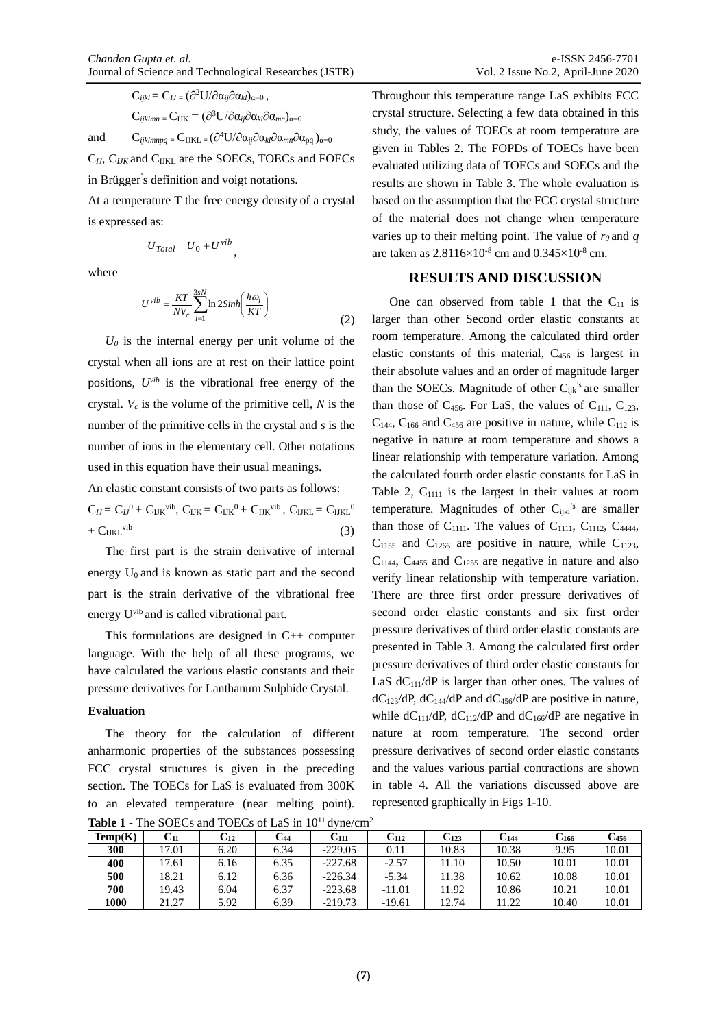$$
C_{ijkl} = C_{IJ} = (\partial^2 U / \partial \alpha_{ij} \partial \alpha_{kl})_{\alpha=0},
$$
  
\n
$$
C_{ijklmn} = C_{IJK} = (\partial^3 U / \partial \alpha_{ij} \partial \alpha_{kl} \partial \alpha_{mn})_{\alpha=0}
$$
  
\nand  
\n
$$
C_{ijklmnpq} = C_{IJKL} = (\partial^4 U / \partial \alpha_{ij} \partial \alpha_{kl} \partial \alpha_{mn} \partial \alpha_{pq})_{\alpha=0}
$$

C*IJ*, C*IJK* and CIJKL are the SOECs, TOECs and FOECs

in Brügger' s definition and voigt notations.

At a temperature T the free energy density of a crystal is expressed as:

$$
U_{Total} = U_0 + U^{\, vib},
$$

where

$$
U^{\text{vib}} = \frac{KT}{NV_c} \sum_{i=1}^{3sN} \ln 2Sinh\left(\frac{\hbar \omega_i}{KT}\right) \tag{2}
$$

 $U_0$  is the internal energy per unit volume of the crystal when all ions are at rest on their lattice point positions, *Uvib* is the vibrational free energy of the crystal. *V<sup>c</sup>* is the volume of the primitive cell, *N* is the number of the primitive cells in the crystal and *s* is the number of ions in the elementary cell. Other notations used in this equation have their usual meanings.

An elastic constant consists of two parts as follows:  $C_{IJ} = C_{IJ}{}^0 + C_{IJK}{}^{\text{vib}}$ ,  $C_{IJK} = C_{IJK}{}^0 + C_{IJK}{}^{\text{vib}}$ ,  $C_{IJKL} = C_{IJKL}{}^0$ 

 $+ C_{IJKL}^{\text{vib}}$  $(3)$ The first part is the strain derivative of internal energy  $U_0$  and is known as static part and the second part is the strain derivative of the vibrational free

energy U<sup>vib</sup> and is called vibrational part.

This formulations are designed in C++ computer language. With the help of all these programs, we have calculated the various elastic constants and their pressure derivatives for Lanthanum Sulphide Crystal.

#### **Evaluation**

The theory for the calculation of different anharmonic properties of the substances possessing FCC crystal structures is given in the preceding section. The TOECs for LaS is evaluated from 300K to an elevated temperature (near melting point).

Throughout this temperature range LaS exhibits FCC crystal structure. Selecting a few data obtained in this study, the values of TOECs at room temperature are given in Tables 2. The FOPDs of TOECs have been evaluated utilizing data of TOECs and SOECs and the results are shown in Table 3. The whole evaluation is based on the assumption that the FCC crystal structure of the material does not change when temperature varies up to their melting point. The value of  $r_0$  and  $q_1$ are taken as  $2.8116\times10^{-8}$  cm and  $0.345\times10^{-8}$  cm.

### **RESULTS AND DISCUSSION**

One can observed from table 1 that the  $C_{11}$  is larger than other Second order elastic constants at room temperature. Among the calculated third order elastic constants of this material, C<sup>456</sup> is largest in their absolute values and an order of magnitude larger than the SOECs. Magnitude of other  $C_{ijk}$ <sup>'s</sup> are smaller than those of  $C_{456}$ . For LaS, the values of  $C_{111}$ ,  $C_{123}$ ,  $C_{144}$ ,  $C_{166}$  and  $C_{456}$  are positive in nature, while  $C_{112}$  is negative in nature at room temperature and shows a linear relationship with temperature variation. Among the calculated fourth order elastic constants for LaS in Table 2,  $C_{1111}$  is the largest in their values at room temperature. Magnitudes of other  $C_{ijkl}$ <sup>'s</sup> are smaller than those of  $C_{1111}$ . The values of  $C_{1111}$ ,  $C_{1112}$ ,  $C_{4444}$ ,  $C_{1155}$  and  $C_{1266}$  are positive in nature, while  $C_{1123}$ ,  $C_{1144}$ ,  $C_{4455}$  and  $C_{1255}$  are negative in nature and also verify linear relationship with temperature variation. There are three first order pressure derivatives of second order elastic constants and six first order pressure derivatives of third order elastic constants are presented in Table 3. Among the calculated first order pressure derivatives of third order elastic constants for LaS  $dC_{111}/dP$  is larger than other ones. The values of  $dC_{123}/dP$ ,  $dC_{144}/dP$  and  $dC_{456}/dP$  are positive in nature, while  $dC_{111}/dP$ ,  $dC_{112}/dP$  and  $dC_{166}/dP$  are negative in nature at room temperature. The second order pressure derivatives of second order elastic constants and the values various partial contractions are shown in table 4. All the variations discussed above are represented graphically in Figs 1-10.

| Temp(K) | $\mathrm{C}_{11}$ | C12  | C44  | $\mathrm{C}_{111}$ | C112     | $\mathrm{C}_{123}$ | $\mathrm{C}_{144}$ | $C_{166}$ | C456  |
|---------|-------------------|------|------|--------------------|----------|--------------------|--------------------|-----------|-------|
| 300     | 17.01             | 6.20 | 6.34 | $-229.05$          | 0.11     | 10.83              | 10.38              | 9.95      | 10.01 |
| 400     | 17.61             | 6.16 | 6.35 | $-227.68$          | $-2.57$  | 11.10              | 10.50              | 10.01     | 10.01 |
| 500     | 18.21             | 6.12 | 6.36 | $-226.34$          | $-5.34$  | 11.38              | 10.62              | 10.08     | 10.01 |
| 700     | 19.43             | 6.04 | 6.37 | $-223.68$          | $-11.01$ | 11.92              | 10.86              | 10.21     | 10.01 |
| 1000    | 21.27             | 5.92 | 6.39 | $-219.73$          | -19.61   | 12.74              | 11.22              | 10.40     | 10.01 |

**Table 1 -** The SOECs and TOECs of LaS in  $10^{11}$  dyne/cm<sup>2</sup>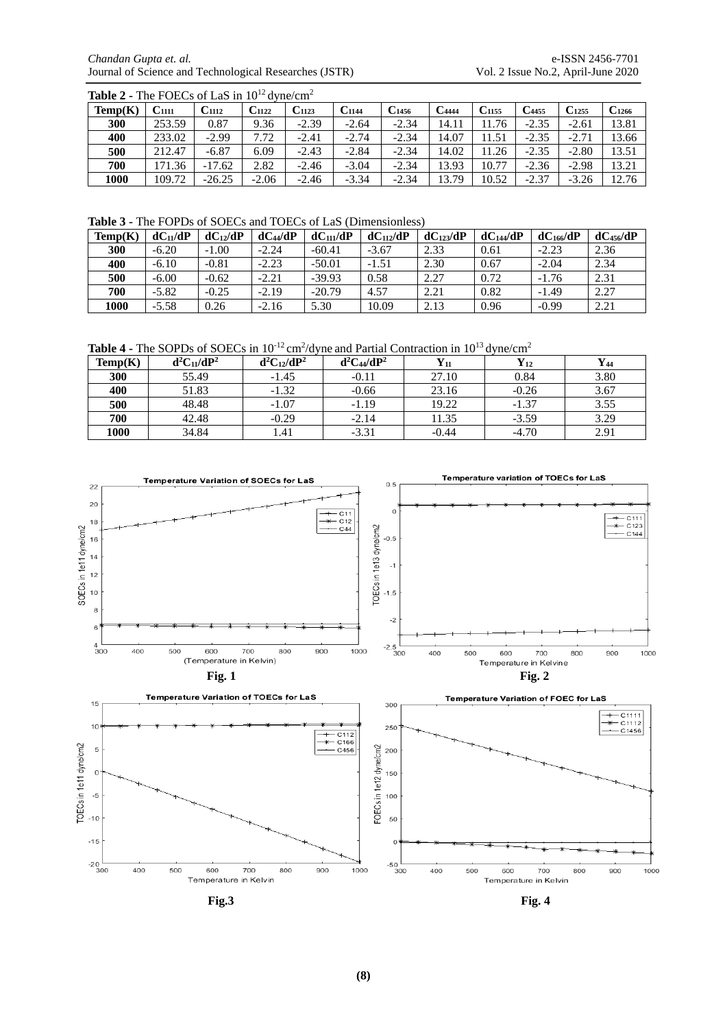*Chandan Gupta et. al.* **e-ISSN 2456-7701**<br>Journal of Science and Technological Researches (JSTR) Vol. 2 Issue No.2, April-June 2020 Journal of Science and Technological Researches (JSTR)

| <b>Table 2 - The FOECs of LaS in <math>10^{12}</math> dyne/cm<sup>2</sup></b> |                   |                   |                |            |                |                   |                     |                     |            |            |            |
|-------------------------------------------------------------------------------|-------------------|-------------------|----------------|------------|----------------|-------------------|---------------------|---------------------|------------|------------|------------|
| Temp(K)                                                                       | C <sub>1111</sub> | C <sub>1112</sub> | $\rm C_{1122}$ | $C_{1123}$ | $\rm C_{1144}$ | C <sub>1456</sub> | $\mathbf{C}_{4444}$ | $\mathrm{C}_{1155}$ | $C_{4455}$ | $C_{1255}$ | $C_{1266}$ |
| 300                                                                           | 253.59            | 0.87              | 9.36           | $-2.39$    | $-2.64$        | $-2.34$           | 14.11               | 11.76               | $-2.35$    | $-2.61$    | 13.81      |
| 400                                                                           | 233.02            | $-2.99$           | 7.72           | $-2.41$    | $-2.74$        | $-2.34$           | 14.07               | 11.51               | $-2.35$    | $-2.71$    | 13.66      |
| 500                                                                           | 212.47            | $-6.87$           | 6.09           | $-2.43$    | $-2.84$        | $-2.34$           | 14.02               | 11.26               | $-2.35$    | $-2.80$    | 13.51      |
| 700                                                                           | 171.36            | $-17.62$          | 2.82           | $-2.46$    | $-3.04$        | $-2.34$           | 13.93               | 10.77               | $-2.36$    | $-2.98$    | 13.21      |
| 1000                                                                          | 109.72            | $-26.25$          | $-2.06$        | $-2.46$    | $-3.34$        | $-2.34$           | 13.79               | 10.52               | $-2.37$    | $-3.26$    | 12.76      |

**Table 3 -** The FOPDs of SOECs and TOECs of LaS (Dimensionless)

| Temp(K) | $dC_{11}/dP$ | $dC_{12}/dP$ | $dC_{44}/dP$ | $dC_{11}/dP$ | $dC_{112}/dP$ | $dC_{123}/dP$ | $dC_{144}/dP$ | dC <sub>166</sub> /dP | $dC_{456}/dP$ |
|---------|--------------|--------------|--------------|--------------|---------------|---------------|---------------|-----------------------|---------------|
| 300     | $-6.20$      | $-1.00$      | $-2.24$      | $-60.41$     | $-3.67$       | 2.33          | 0.61          | $-2.23$               | 2.36          |
| 400     | $-6.10$      | $-0.81$      | $-2.23$      | $-50.01$     | $-1.51$       | 2.30          | 0.67          | $-2.04$               | 2.34          |
| 500     | $-6.00$      | $-0.62$      | $-2.21$      | $-39.93$     | 0.58          | 2.27          | 0.72          | $-1.76$               | 2.31          |
| 700     | $-5.82$      | $-0.25$      | $-2.19$      | $-20.79$     | 4.57          | 2.21          | 0.82          | $-1.49$               | 2.27          |
| 1000    | $-5.58$      | 0.26         | $-2.16$      | 5.30         | 10.09         | 2.13          | 0.96          | $-0.99$               | 2.21          |

Table 4 - The SOPDs of SOECs in 10<sup>-12</sup> cm<sup>2</sup>/dyne and Partial Contraction in 10<sup>13</sup> dyne/cm<sup>2</sup>

| Temp(K) | $d^2C_{11}/dP^2$ | $d^2C_{12}/dP^2$ | $d^2C_{44}/dP^2$ | $\mathbf{Y}_{11}$ | $\mathbf{Y}_{12}$ | Y44  |
|---------|------------------|------------------|------------------|-------------------|-------------------|------|
| 300     | 55.49            | $-1.45$          | $-0.11$          | 27.10             | 0.84              | 3.80 |
| 400     | 51.83            | $-1.32$          | $-0.66$          | 23.16             | $-0.26$           | 3.67 |
| 500     | 48.48            | $-1.07$          | $-1.19$          | 19.22             | $-1.37$           | 3.55 |
| 700     | 42.48            | $-0.29$          | $-2.14$          | 11.35             | $-3.59$           | 3.29 |
| 1000    | 34.84            | 1.41             | $-3.31$          | $-0.44$           | $-4.70$           | 2.91 |



**Fig.3 Fig. 4**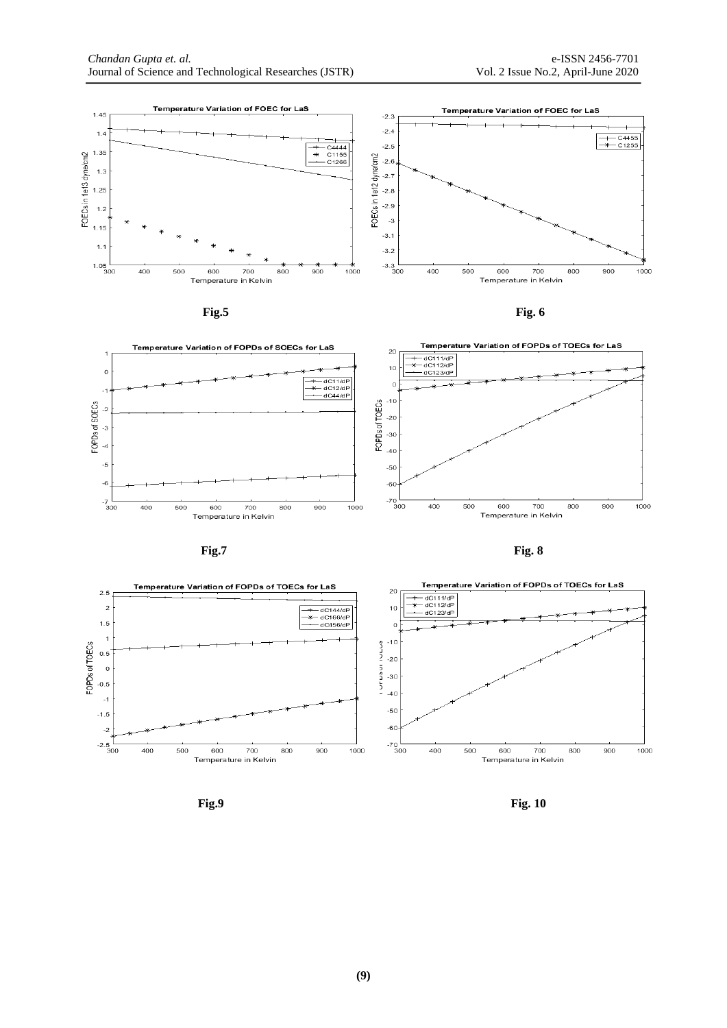